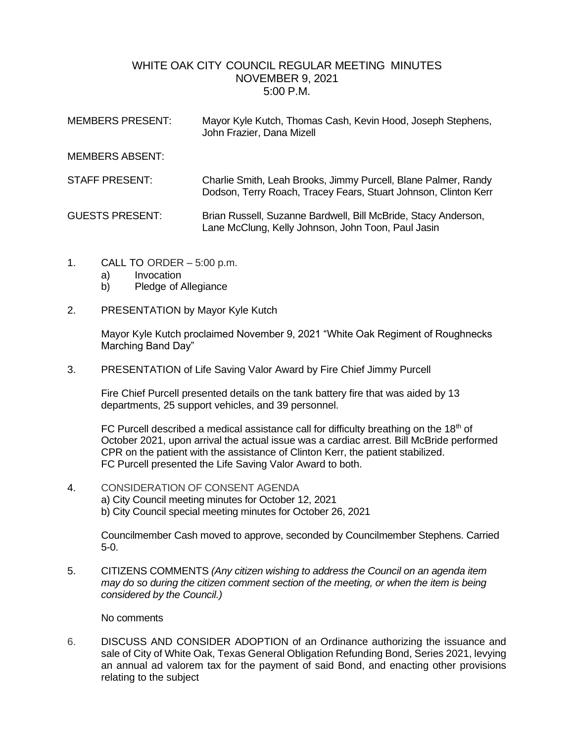## WHITE OAK CITY COUNCIL REGULAR MEETING MINUTES NOVEMBER 9, 2021 5:00 P.M.

| <b>MEMBERS PRESENT:</b> | Mayor Kyle Kutch, Thomas Cash, Kevin Hood, Joseph Stephens,<br>John Frazier, Dana Mizell                                          |
|-------------------------|-----------------------------------------------------------------------------------------------------------------------------------|
| <b>MEMBERS ABSENT:</b>  |                                                                                                                                   |
| <b>STAFF PRESENT:</b>   | Charlie Smith, Leah Brooks, Jimmy Purcell, Blane Palmer, Randy<br>Dodson, Terry Roach, Tracey Fears, Stuart Johnson, Clinton Kerr |
| <b>GUESTS PRESENT:</b>  | Brian Russell, Suzanne Bardwell, Bill McBride, Stacy Anderson,<br>Lane McClung, Kelly Johnson, John Toon, Paul Jasin              |

- 1. CALL TO ORDER 5:00 p.m.
	- a) Invocation
	- b) Pledge of Allegiance
- 2. PRESENTATION by Mayor Kyle Kutch

Mayor Kyle Kutch proclaimed November 9, 2021 "White Oak Regiment of Roughnecks Marching Band Day"

3. PRESENTATION of Life Saving Valor Award by Fire Chief Jimmy Purcell

Fire Chief Purcell presented details on the tank battery fire that was aided by 13 departments, 25 support vehicles, and 39 personnel.

FC Purcell described a medical assistance call for difficulty breathing on the 18<sup>th</sup> of October 2021, upon arrival the actual issue was a cardiac arrest. Bill McBride performed CPR on the patient with the assistance of Clinton Kerr, the patient stabilized. FC Purcell presented the Life Saving Valor Award to both.

4. CONSIDERATION OF CONSENT AGENDA a) City Council meeting minutes for October 12, 2021 b) City Council special meeting minutes for October 26, 2021

> Councilmember Cash moved to approve, seconded by Councilmember Stephens. Carried 5-0.

5. CITIZENS COMMENTS *(Any citizen wishing to address the Council on an agenda item may do so during the citizen comment section of the meeting, or when the item is being considered by the Council.)*

No comments

6. DISCUSS AND CONSIDER ADOPTION of an Ordinance authorizing the issuance and sale of City of White Oak, Texas General Obligation Refunding Bond, Series 2021, levying an annual ad valorem tax for the payment of said Bond, and enacting other provisions relating to the subject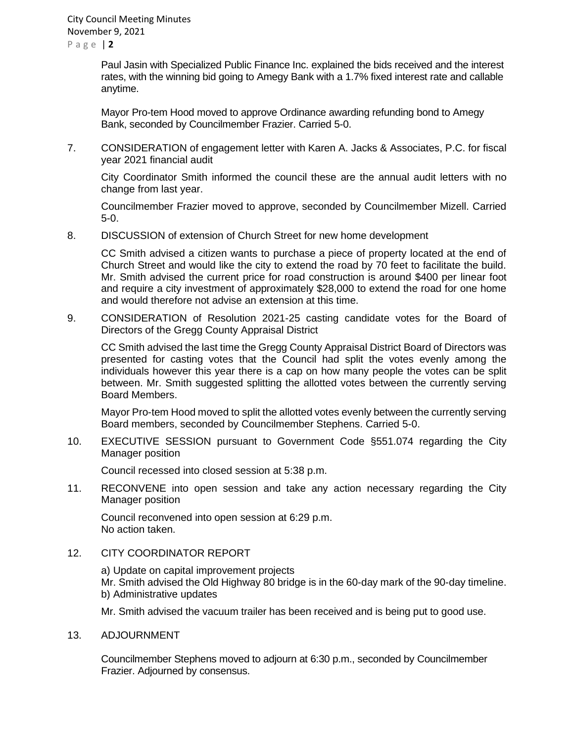City Council Meeting Minutes November 9, 2021

P a g e | **2**

Paul Jasin with Specialized Public Finance Inc. explained the bids received and the interest rates, with the winning bid going to Amegy Bank with a 1.7% fixed interest rate and callable anytime.

Mayor Pro-tem Hood moved to approve Ordinance awarding refunding bond to Amegy Bank, seconded by Councilmember Frazier. Carried 5-0.

7. CONSIDERATION of engagement letter with Karen A. Jacks & Associates, P.C. for fiscal year 2021 financial audit

City Coordinator Smith informed the council these are the annual audit letters with no change from last year.

Councilmember Frazier moved to approve, seconded by Councilmember Mizell. Carried 5-0.

8. DISCUSSION of extension of Church Street for new home development

CC Smith advised a citizen wants to purchase a piece of property located at the end of Church Street and would like the city to extend the road by 70 feet to facilitate the build. Mr. Smith advised the current price for road construction is around \$400 per linear foot and require a city investment of approximately \$28,000 to extend the road for one home and would therefore not advise an extension at this time.

9. CONSIDERATION of Resolution 2021-25 casting candidate votes for the Board of Directors of the Gregg County Appraisal District

CC Smith advised the last time the Gregg County Appraisal District Board of Directors was presented for casting votes that the Council had split the votes evenly among the individuals however this year there is a cap on how many people the votes can be split between. Mr. Smith suggested splitting the allotted votes between the currently serving Board Members.

Mayor Pro-tem Hood moved to split the allotted votes evenly between the currently serving Board members, seconded by Councilmember Stephens. Carried 5-0.

10. EXECUTIVE SESSION pursuant to Government Code §551.074 regarding the City Manager position

Council recessed into closed session at 5:38 p.m.

11. RECONVENE into open session and take any action necessary regarding the City Manager position

Council reconvened into open session at 6:29 p.m. No action taken.

12. CITY COORDINATOR REPORT

a) Update on capital improvement projects Mr. Smith advised the Old Highway 80 bridge is in the 60-day mark of the 90-day timeline. b) Administrative updates

Mr. Smith advised the vacuum trailer has been received and is being put to good use.

13. ADJOURNMENT

Councilmember Stephens moved to adjourn at 6:30 p.m., seconded by Councilmember Frazier. Adjourned by consensus.